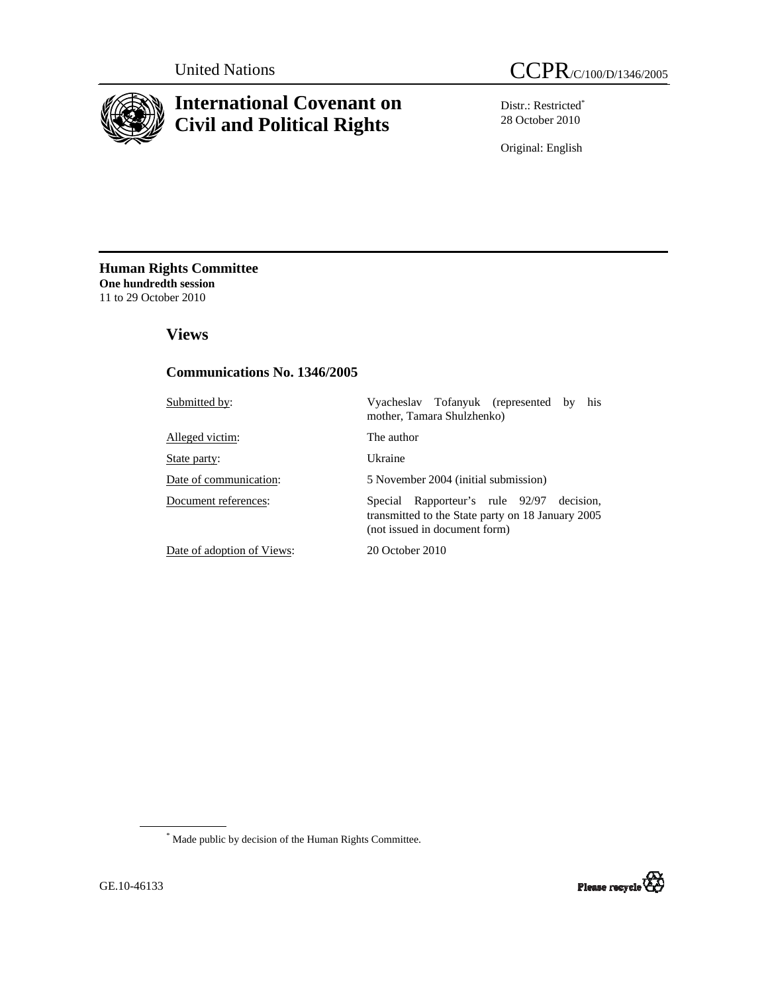

# **International Covenant on Civil and Political Rights**

Distr.: Restricted\* 28 October 2010

Original: English

**Human Rights Committee One hundredth session** 11 to 29 October 2010

 **Views** 

## **Communications No. 1346/2005**

| Submitted by:              | Vyacheslav Tofanyuk (represented by<br>his<br>mother, Tamara Shulzhenko)                                                              |
|----------------------------|---------------------------------------------------------------------------------------------------------------------------------------|
| Alleged victim:            | The author                                                                                                                            |
| State party:               | Ukraine                                                                                                                               |
| Date of communication:     | 5 November 2004 (initial submission)                                                                                                  |
| Document references:       | Rapporteur's rule 92/97<br>decision.<br>Special<br>transmitted to the State party on 18 January 2005<br>(not issued in document form) |
| Date of adoption of Views: | 20 October 2010                                                                                                                       |

\* Made public by decision of the Human Rights Committee.

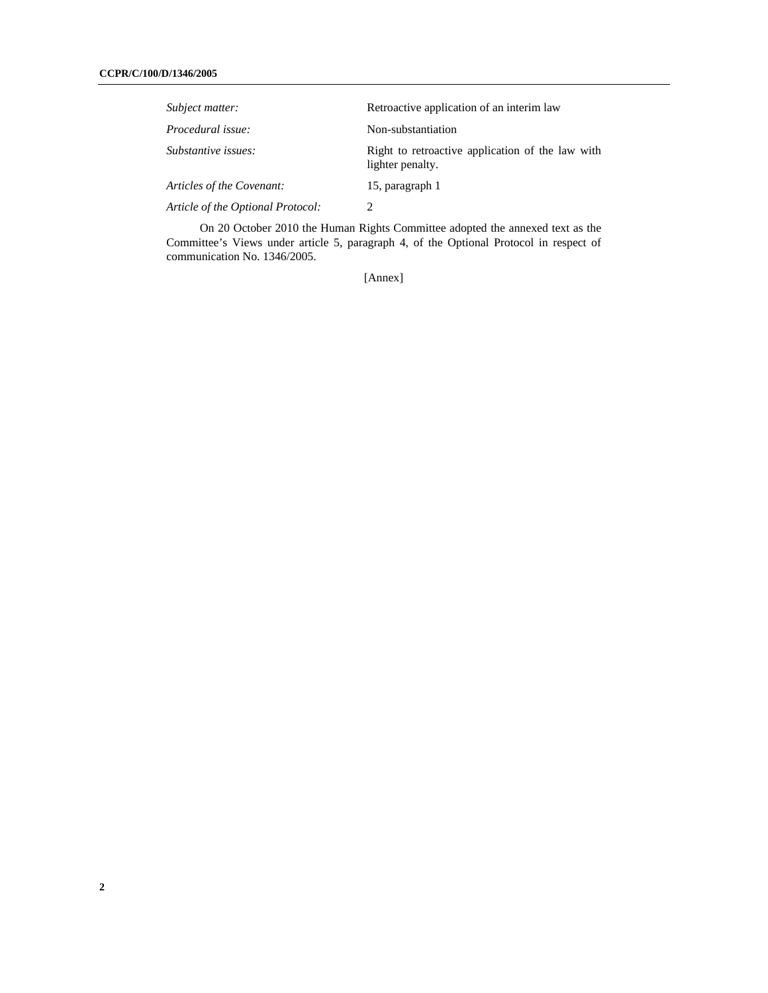| Subject matter:                   | Retroactive application of an interim law                            |
|-----------------------------------|----------------------------------------------------------------------|
| Procedural issue:                 | Non-substantiation                                                   |
| Substantive issues:               | Right to retroactive application of the law with<br>lighter penalty. |
| Articles of the Covenant:         | 15, paragraph 1                                                      |
| Article of the Optional Protocol: | 7                                                                    |

On 20 October 2010 the Human Rights Committee adopted the annexed text as the Committee's Views under article 5, paragraph 4, of the Optional Protocol in respect of communication No. 1346/2005.

[Annex]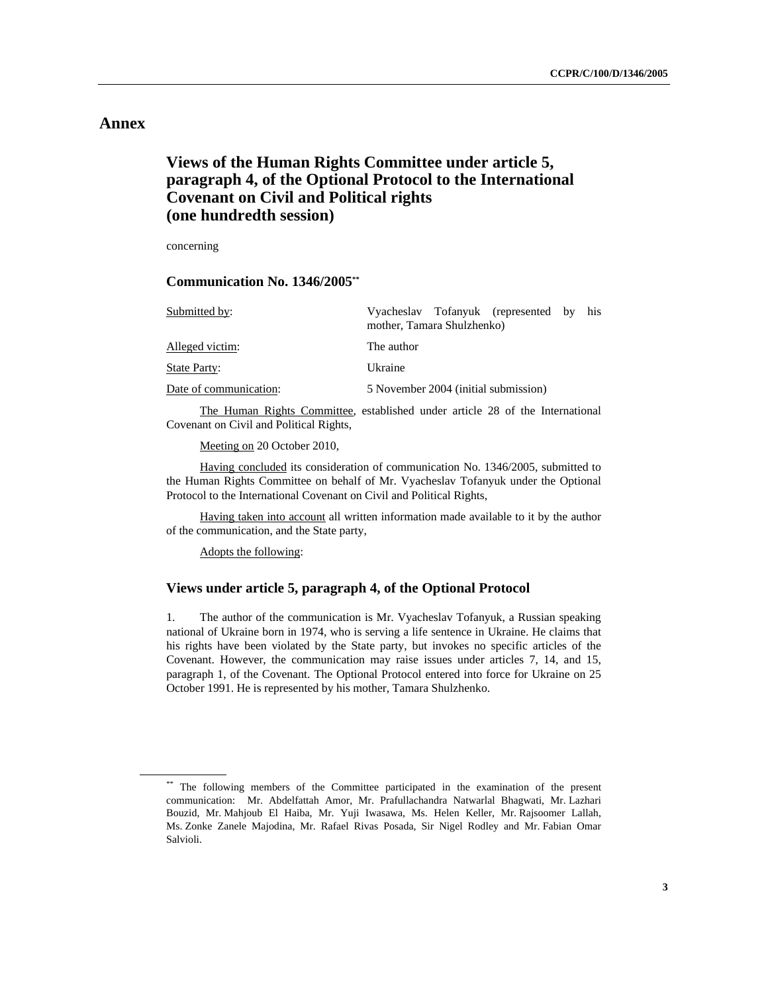## **Annex**

# **Views of the Human Rights Committee under article 5, paragraph 4, of the Optional Protocol to the International Covenant on Civil and Political rights (one hundredth session)**

concerning

 **Communication No. 1346/2005\*\***

| Submitted by:          | his.<br>Vyacheslav Tofanyuk (represented by<br>mother, Tamara Shulzhenko) |
|------------------------|---------------------------------------------------------------------------|
| Alleged victim:        | The author                                                                |
| <b>State Party:</b>    | Ukraine                                                                   |
| Date of communication: | 5 November 2004 (initial submission)                                      |

 The Human Rights Committee, established under article 28 of the International Covenant on Civil and Political Rights,

Meeting on 20 October 2010,

 Having concluded its consideration of communication No. 1346/2005, submitted to the Human Rights Committee on behalf of Mr. Vyacheslav Tofanyuk under the Optional Protocol to the International Covenant on Civil and Political Rights,

 Having taken into account all written information made available to it by the author of the communication, and the State party,

Adopts the following:

## **Views under article 5, paragraph 4, of the Optional Protocol**

1. The author of the communication is Mr. Vyacheslav Tofanyuk, a Russian speaking national of Ukraine born in 1974, who is serving a life sentence in Ukraine. He claims that his rights have been violated by the State party, but invokes no specific articles of the Covenant. However, the communication may raise issues under articles 7, 14, and 15, paragraph 1, of the Covenant. The Optional Protocol entered into force for Ukraine on 25 October 1991. He is represented by his mother, Tamara Shulzhenko.

<sup>\*\*</sup> The following members of the Committee participated in the examination of the present communication: Mr. Abdelfattah Amor, Mr. Prafullachandra Natwarlal Bhagwati, Mr. Lazhari Bouzid, Mr. Mahjoub El Haiba, Mr. Yuji Iwasawa, Ms. Helen Keller, Mr. Rajsoomer Lallah, Ms. Zonke Zanele Majodina, Mr. Rafael Rivas Posada, Sir Nigel Rodley and Mr. Fabian Omar Salvioli.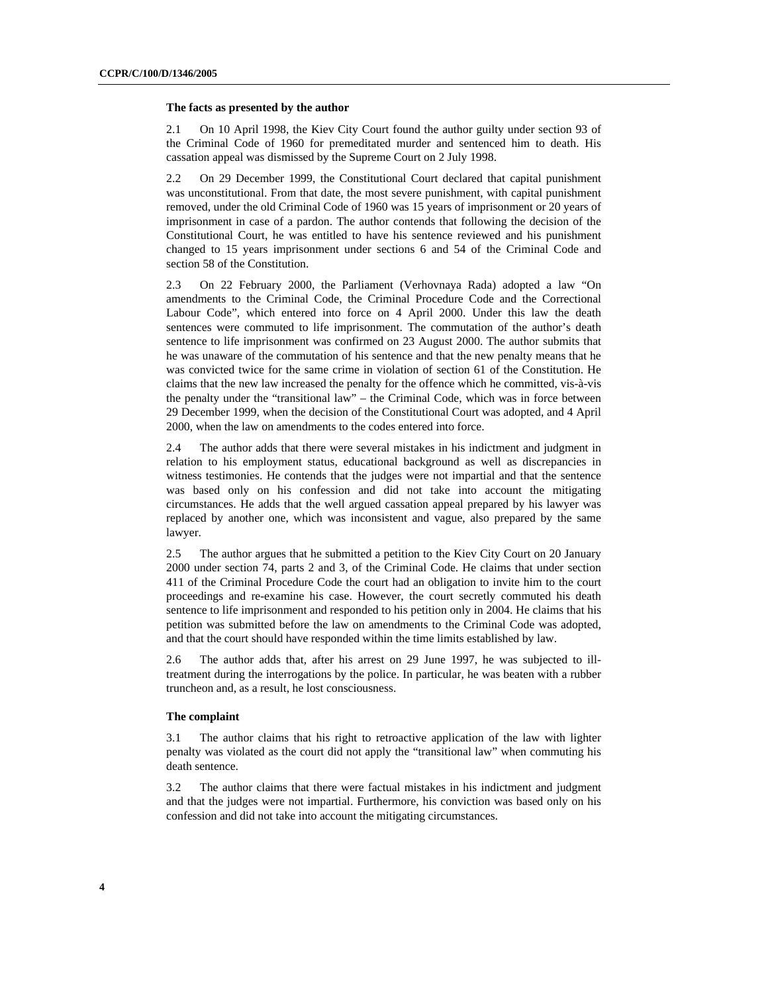#### **The facts as presented by the author**

2.1 On 10 April 1998, the Kiev City Court found the author guilty under section 93 of the Criminal Code of 1960 for premeditated murder and sentenced him to death. His cassation appeal was dismissed by the Supreme Court on 2 July 1998.

2.2 On 29 December 1999, the Constitutional Court declared that capital punishment was unconstitutional. From that date, the most severe punishment, with capital punishment removed, under the old Criminal Code of 1960 was 15 years of imprisonment or 20 years of imprisonment in case of a pardon. The author contends that following the decision of the Constitutional Court, he was entitled to have his sentence reviewed and his punishment changed to 15 years imprisonment under sections 6 and 54 of the Criminal Code and section 58 of the Constitution.

2.3 On 22 February 2000, the Parliament (Verhovnaya Rada) adopted a law "On amendments to the Criminal Code, the Criminal Procedure Code and the Correctional Labour Code", which entered into force on 4 April 2000. Under this law the death sentences were commuted to life imprisonment. The commutation of the author's death sentence to life imprisonment was confirmed on 23 August 2000. The author submits that he was unaware of the commutation of his sentence and that the new penalty means that he was convicted twice for the same crime in violation of section 61 of the Constitution. He claims that the new law increased the penalty for the offence which he committed, vis-à-vis the penalty under the "transitional law" – the Criminal Code, which was in force between 29 December 1999, when the decision of the Constitutional Court was adopted, and 4 April 2000, when the law on amendments to the codes entered into force.

2.4 The author adds that there were several mistakes in his indictment and judgment in relation to his employment status, educational background as well as discrepancies in witness testimonies. He contends that the judges were not impartial and that the sentence was based only on his confession and did not take into account the mitigating circumstances. He adds that the well argued cassation appeal prepared by his lawyer was replaced by another one, which was inconsistent and vague, also prepared by the same lawyer.

2.5 The author argues that he submitted a petition to the Kiev City Court on 20 January 2000 under section 74, parts 2 and 3, of the Criminal Code. He claims that under section 411 of the Criminal Procedure Code the court had an obligation to invite him to the court proceedings and re-examine his case. However, the court secretly commuted his death sentence to life imprisonment and responded to his petition only in 2004. He claims that his petition was submitted before the law on amendments to the Criminal Code was adopted, and that the court should have responded within the time limits established by law.

2.6 The author adds that, after his arrest on 29 June 1997, he was subjected to illtreatment during the interrogations by the police. In particular, he was beaten with a rubber truncheon and, as a result, he lost consciousness.

#### **The complaint**

3.1 The author claims that his right to retroactive application of the law with lighter penalty was violated as the court did not apply the "transitional law" when commuting his death sentence.

3.2 The author claims that there were factual mistakes in his indictment and judgment and that the judges were not impartial. Furthermore, his conviction was based only on his confession and did not take into account the mitigating circumstances.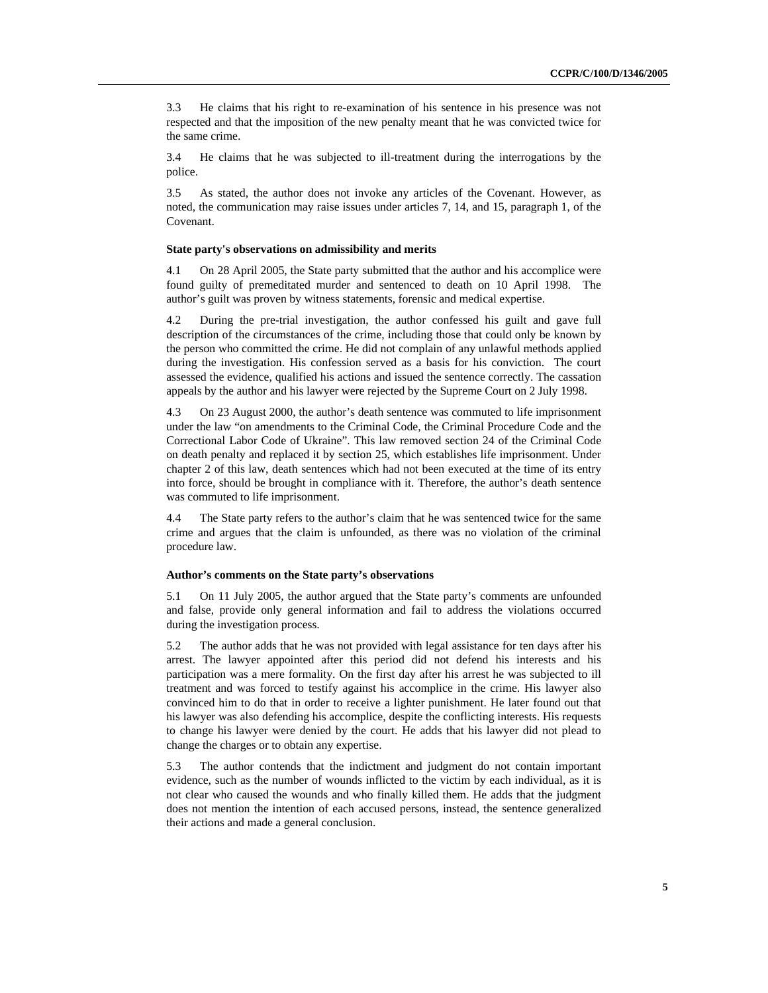3.3 He claims that his right to re-examination of his sentence in his presence was not respected and that the imposition of the new penalty meant that he was convicted twice for the same crime.

3.4 He claims that he was subjected to ill-treatment during the interrogations by the police.

3.5 As stated, the author does not invoke any articles of the Covenant. However, as noted, the communication may raise issues under articles 7, 14, and 15, paragraph 1, of the Covenant.

#### **State party's observations on admissibility and merits**

4.1 On 28 April 2005, the State party submitted that the author and his accomplice were found guilty of premeditated murder and sentenced to death on 10 April 1998. The author's guilt was proven by witness statements, forensic and medical expertise.

4.2 During the pre-trial investigation, the author confessed his guilt and gave full description of the circumstances of the crime, including those that could only be known by the person who committed the crime. He did not complain of any unlawful methods applied during the investigation. His confession served as a basis for his conviction. The court assessed the evidence, qualified his actions and issued the sentence correctly. The cassation appeals by the author and his lawyer were rejected by the Supreme Court on 2 July 1998.

4.3 On 23 August 2000, the author's death sentence was commuted to life imprisonment under the law "on amendments to the Criminal Code, the Criminal Procedure Code and the Correctional Labor Code of Ukraine". This law removed section 24 of the Criminal Code on death penalty and replaced it by section 25, which establishes life imprisonment. Under chapter 2 of this law, death sentences which had not been executed at the time of its entry into force, should be brought in compliance with it. Therefore, the author's death sentence was commuted to life imprisonment.

4.4 The State party refers to the author's claim that he was sentenced twice for the same crime and argues that the claim is unfounded, as there was no violation of the criminal procedure law.

#### **Author's comments on the State party's observations**

5.1 On 11 July 2005, the author argued that the State party's comments are unfounded and false, provide only general information and fail to address the violations occurred during the investigation process.

5.2 The author adds that he was not provided with legal assistance for ten days after his arrest. The lawyer appointed after this period did not defend his interests and his participation was a mere formality. On the first day after his arrest he was subjected to ill treatment and was forced to testify against his accomplice in the crime. His lawyer also convinced him to do that in order to receive a lighter punishment. He later found out that his lawyer was also defending his accomplice, despite the conflicting interests. His requests to change his lawyer were denied by the court. He adds that his lawyer did not plead to change the charges or to obtain any expertise.

5.3 The author contends that the indictment and judgment do not contain important evidence, such as the number of wounds inflicted to the victim by each individual, as it is not clear who caused the wounds and who finally killed them. He adds that the judgment does not mention the intention of each accused persons, instead, the sentence generalized their actions and made a general conclusion.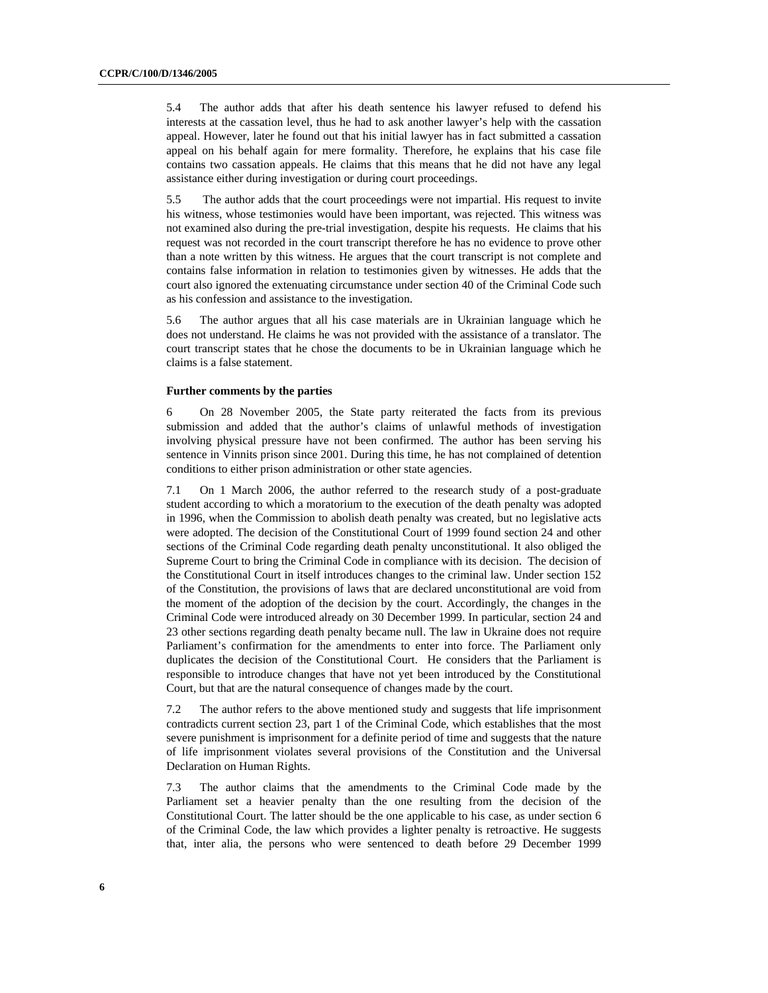5.4 The author adds that after his death sentence his lawyer refused to defend his interests at the cassation level, thus he had to ask another lawyer's help with the cassation appeal. However, later he found out that his initial lawyer has in fact submitted a cassation appeal on his behalf again for mere formality. Therefore, he explains that his case file contains two cassation appeals. He claims that this means that he did not have any legal assistance either during investigation or during court proceedings.

5.5 The author adds that the court proceedings were not impartial. His request to invite his witness, whose testimonies would have been important, was rejected. This witness was not examined also during the pre-trial investigation, despite his requests. He claims that his request was not recorded in the court transcript therefore he has no evidence to prove other than a note written by this witness. He argues that the court transcript is not complete and contains false information in relation to testimonies given by witnesses. He adds that the court also ignored the extenuating circumstance under section 40 of the Criminal Code such as his confession and assistance to the investigation.

5.6 The author argues that all his case materials are in Ukrainian language which he does not understand. He claims he was not provided with the assistance of a translator. The court transcript states that he chose the documents to be in Ukrainian language which he claims is a false statement.

## **Further comments by the parties**

6 On 28 November 2005, the State party reiterated the facts from its previous submission and added that the author's claims of unlawful methods of investigation involving physical pressure have not been confirmed. The author has been serving his sentence in Vinnits prison since 2001. During this time, he has not complained of detention conditions to either prison administration or other state agencies.

7.1 On 1 March 2006, the author referred to the research study of a post-graduate student according to which a moratorium to the execution of the death penalty was adopted in 1996, when the Commission to abolish death penalty was created, but no legislative acts were adopted. The decision of the Constitutional Court of 1999 found section 24 and other sections of the Criminal Code regarding death penalty unconstitutional. It also obliged the Supreme Court to bring the Criminal Code in compliance with its decision. The decision of the Constitutional Court in itself introduces changes to the criminal law. Under section 152 of the Constitution, the provisions of laws that are declared unconstitutional are void from the moment of the adoption of the decision by the court. Accordingly, the changes in the Criminal Code were introduced already on 30 December 1999. In particular, section 24 and 23 other sections regarding death penalty became null. The law in Ukraine does not require Parliament's confirmation for the amendments to enter into force. The Parliament only duplicates the decision of the Constitutional Court. He considers that the Parliament is responsible to introduce changes that have not yet been introduced by the Constitutional Court, but that are the natural consequence of changes made by the court.

7.2 The author refers to the above mentioned study and suggests that life imprisonment contradicts current section 23, part 1 of the Criminal Code, which establishes that the most severe punishment is imprisonment for a definite period of time and suggests that the nature of life imprisonment violates several provisions of the Constitution and the Universal Declaration on Human Rights.

7.3 The author claims that the amendments to the Criminal Code made by the Parliament set a heavier penalty than the one resulting from the decision of the Constitutional Court. The latter should be the one applicable to his case, as under section 6 of the Criminal Code, the law which provides a lighter penalty is retroactive. He suggests that, inter alia, the persons who were sentenced to death before 29 December 1999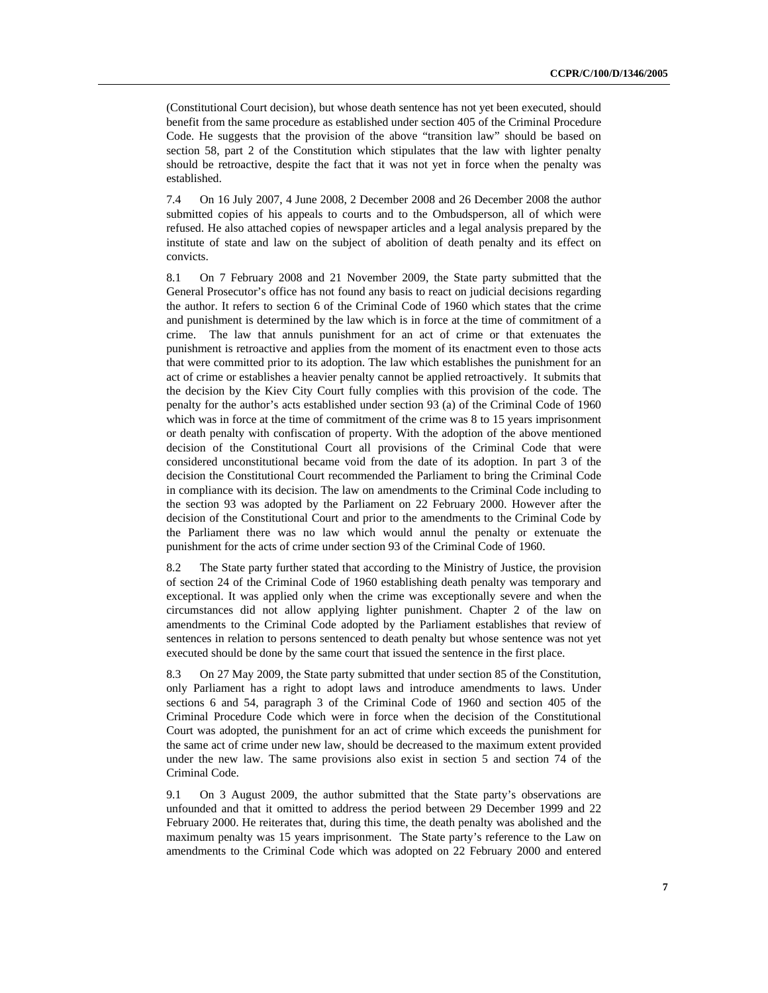(Constitutional Court decision), but whose death sentence has not yet been executed, should benefit from the same procedure as established under section 405 of the Criminal Procedure Code. He suggests that the provision of the above "transition law" should be based on section 58, part 2 of the Constitution which stipulates that the law with lighter penalty should be retroactive, despite the fact that it was not yet in force when the penalty was established.

7.4 On 16 July 2007, 4 June 2008, 2 December 2008 and 26 December 2008 the author submitted copies of his appeals to courts and to the Ombudsperson, all of which were refused. He also attached copies of newspaper articles and a legal analysis prepared by the institute of state and law on the subject of abolition of death penalty and its effect on convicts.

8.1 On 7 February 2008 and 21 November 2009, the State party submitted that the General Prosecutor's office has not found any basis to react on judicial decisions regarding the author. It refers to section 6 of the Criminal Code of 1960 which states that the crime and punishment is determined by the law which is in force at the time of commitment of a crime. The law that annuls punishment for an act of crime or that extenuates the punishment is retroactive and applies from the moment of its enactment even to those acts that were committed prior to its adoption. The law which establishes the punishment for an act of crime or establishes a heavier penalty cannot be applied retroactively. It submits that the decision by the Kiev City Court fully complies with this provision of the code. The penalty for the author's acts established under section 93 (a) of the Criminal Code of 1960 which was in force at the time of commitment of the crime was 8 to 15 years imprisonment or death penalty with confiscation of property. With the adoption of the above mentioned decision of the Constitutional Court all provisions of the Criminal Code that were considered unconstitutional became void from the date of its adoption. In part 3 of the decision the Constitutional Court recommended the Parliament to bring the Criminal Code in compliance with its decision. The law on amendments to the Criminal Code including to the section 93 was adopted by the Parliament on 22 February 2000. However after the decision of the Constitutional Court and prior to the amendments to the Criminal Code by the Parliament there was no law which would annul the penalty or extenuate the punishment for the acts of crime under section 93 of the Criminal Code of 1960.

8.2 The State party further stated that according to the Ministry of Justice, the provision of section 24 of the Criminal Code of 1960 establishing death penalty was temporary and exceptional. It was applied only when the crime was exceptionally severe and when the circumstances did not allow applying lighter punishment. Chapter 2 of the law on amendments to the Criminal Code adopted by the Parliament establishes that review of sentences in relation to persons sentenced to death penalty but whose sentence was not yet executed should be done by the same court that issued the sentence in the first place.

8.3 On 27 May 2009, the State party submitted that under section 85 of the Constitution, only Parliament has a right to adopt laws and introduce amendments to laws. Under sections 6 and 54, paragraph 3 of the Criminal Code of 1960 and section 405 of the Criminal Procedure Code which were in force when the decision of the Constitutional Court was adopted, the punishment for an act of crime which exceeds the punishment for the same act of crime under new law, should be decreased to the maximum extent provided under the new law. The same provisions also exist in section 5 and section 74 of the Criminal Code.

9.1 On 3 August 2009, the author submitted that the State party's observations are unfounded and that it omitted to address the period between 29 December 1999 and 22 February 2000. He reiterates that, during this time, the death penalty was abolished and the maximum penalty was 15 years imprisonment. The State party's reference to the Law on amendments to the Criminal Code which was adopted on 22 February 2000 and entered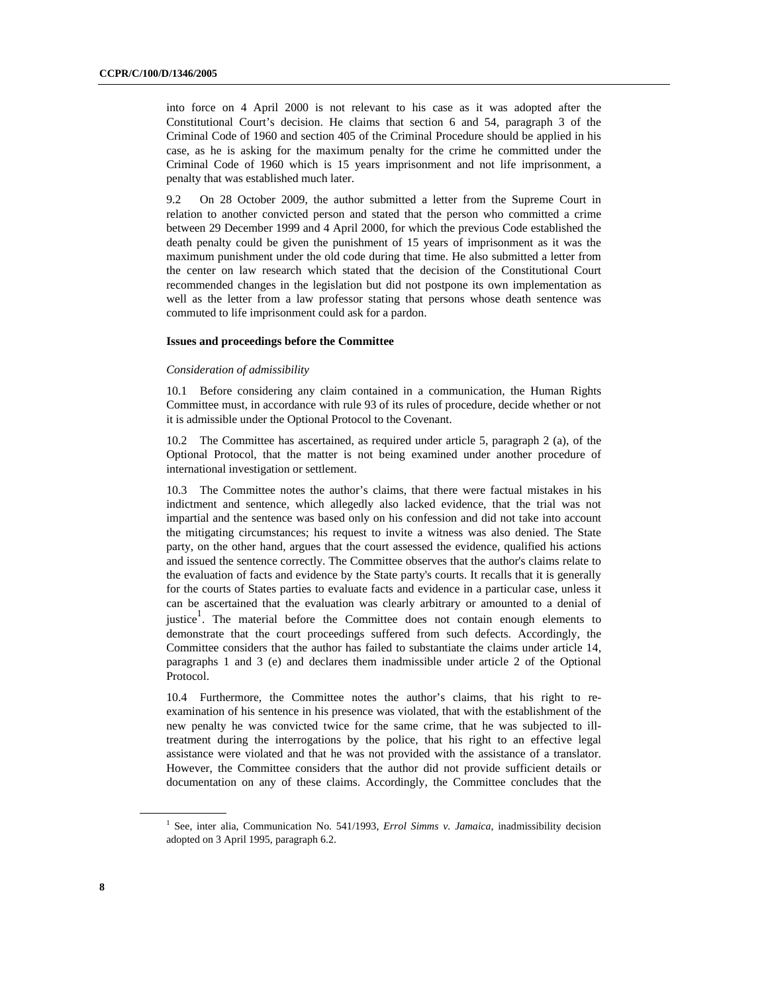into force on 4 April 2000 is not relevant to his case as it was adopted after the Constitutional Court's decision. He claims that section 6 and 54, paragraph 3 of the Criminal Code of 1960 and section 405 of the Criminal Procedure should be applied in his case, as he is asking for the maximum penalty for the crime he committed under the Criminal Code of 1960 which is 15 years imprisonment and not life imprisonment, a penalty that was established much later.

9.2 On 28 October 2009, the author submitted a letter from the Supreme Court in relation to another convicted person and stated that the person who committed a crime between 29 December 1999 and 4 April 2000, for which the previous Code established the death penalty could be given the punishment of 15 years of imprisonment as it was the maximum punishment under the old code during that time. He also submitted a letter from the center on law research which stated that the decision of the Constitutional Court recommended changes in the legislation but did not postpone its own implementation as well as the letter from a law professor stating that persons whose death sentence was commuted to life imprisonment could ask for a pardon.

#### **Issues and proceedings before the Committee**

#### *Consideration of admissibility*

10.1 Before considering any claim contained in a communication, the Human Rights Committee must, in accordance with rule 93 of its rules of procedure, decide whether or not it is admissible under the Optional Protocol to the Covenant.

10.2 The Committee has ascertained, as required under article 5, paragraph 2 (a), of the Optional Protocol, that the matter is not being examined under another procedure of international investigation or settlement.

10.3 The Committee notes the author's claims, that there were factual mistakes in his indictment and sentence, which allegedly also lacked evidence, that the trial was not impartial and the sentence was based only on his confession and did not take into account the mitigating circumstances; his request to invite a witness was also denied. The State party, on the other hand, argues that the court assessed the evidence, qualified his actions and issued the sentence correctly. The Committee observes that the author's claims relate to the evaluation of facts and evidence by the State party's courts. It recalls that it is generally for the courts of States parties to evaluate facts and evidence in a particular case, unless it can be ascertained that the evaluation was clearly arbitrary or amounted to a denial of justice<sup>1</sup>. The material before the Committee does not contain enough elements to demonstrate that the court proceedings suffered from such defects. Accordingly, the Committee considers that the author has failed to substantiate the claims under article 14, paragraphs 1 and 3 (e) and declares them inadmissible under article 2 of the Optional Protocol.

10.4 Furthermore, the Committee notes the author's claims, that his right to reexamination of his sentence in his presence was violated, that with the establishment of the new penalty he was convicted twice for the same crime, that he was subjected to illtreatment during the interrogations by the police, that his right to an effective legal assistance were violated and that he was not provided with the assistance of a translator. However, the Committee considers that the author did not provide sufficient details or documentation on any of these claims. Accordingly, the Committee concludes that the

<sup>&</sup>lt;sup>1</sup> See, inter alia, Communication No. 541/1993, *Errol Simms v. Jamaica*, inadmissibility decision adopted on 3 April 1995, paragraph 6.2.